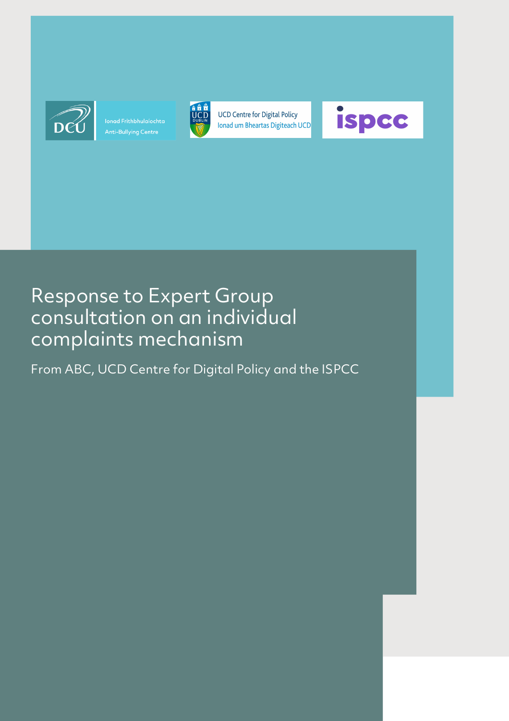

Ionad Frithbhulaíochta



**UCD Centre for Digital Policy** Ionad um Bheartas Digiteach UCD



# Response to Expert Group consultation on an individual complaints mechanism

From ABC, UCD Centre for Digital Policy and the ISPCC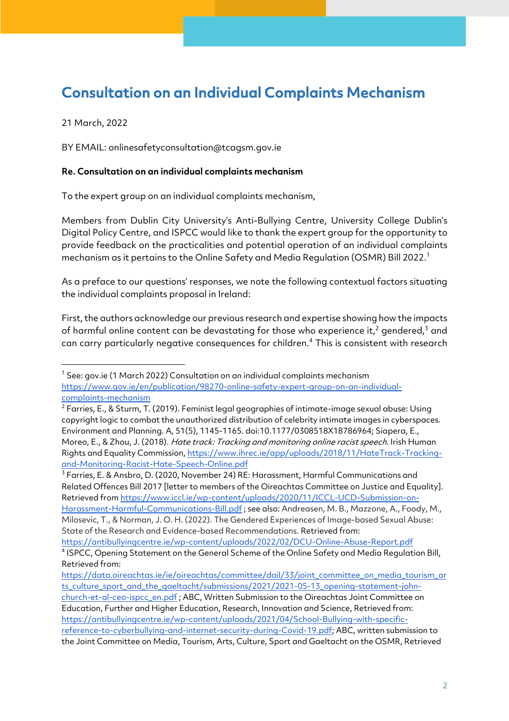# Consultation on an Individual Complaints Mechanism

21 March, 2022

BY EMAIL: onlinesafetyconsultation@tcagsm.gov.ie

#### **Re. Consultation on an individual complaints mechanism**

To the expert group on an individual complaints mechanism,

Members from Dublin City University's Anti-Bullying Centre, University College Dublin's Digital Policy Centre, and ISPCC would like to thank the expert group for the opportunity to provide feedback on the practicalities and potential operation of an individual complaints mechanism as it pertains to the Online Safety and Media Regulation (OSMR) Bill 2022.1

As a preface to our questions' responses, we note the following contextual factors situating the individual complaints proposal in Ireland:

First, the authors acknowledge our previous research and expertise showing how the impacts of harmful online content can be devastating for those who experience it,<sup>2</sup> gendered,<sup>3</sup> and can carry particularly negative consequences for children.4 This is consistent with research

<sup>3</sup> Farries, E. & Ansbro, D. (2020, November 24) RE: Harassment, Harmful Communications and Related Offences Bill 2017 [letter to members of the Oireachtas Committee on Justice and Equality]. Retrieved from https://www.iccl.ie/wp-content/uploads/2020/11/ICCL-UCD-Submission-on-Harassment-Harmful-Communications-Bill.pdf ; see also: Andreasen, M. B., Mazzone, A., Foody, M., Milosevic, T., & Norman, J. O. H. (2022). The Gendered Experiences of Image-based Sexual Abuse: State of the Research and Evidence-based Recommendations. Retrieved from: https://antibullyingcentre.ie/wp-content/uploads/2022/02/DCU-Online-Abuse-Report.pdf

<sup>&</sup>lt;sup>1</sup> See: gov.ie (1 March 2022) Consultation on an individual complaints mechanism https://www.gov.ie/en/publication/98270-online-safety-expert-group-on-an-individualcomplaints-mechanism

 $^2$  Farries, E., & Sturm, T. (2019). Feminist legal geographies of intimate-image sexual abuse: Using copyright logic to combat the unauthorized distribution of celebrity intimate images in cyberspaces. Environment and Planning. A, 51(5), 1145-1165. doi:10.1177/0308518X18786964; Siapera, E., Moreo, E., & Zhou, J. (2018). Hate track: Tracking and monitoring online racist speech. Irish Human Rights and Equality Commission, https://www.ihrec.ie/app/uploads/2018/11/HateTrack-Trackingand-Monitoring-Racist-Hate-Speech-Online.pdf

<sup>4</sup> ISPCC, Opening Statement on the General Scheme of the Online Safety and Media Regulation Bill, Retrieved from:

https://data.oireachtas.ie/ie/oireachtas/committee/dail/33/joint\_committee\_on\_media\_tourism\_ar ts\_culture\_sport\_and\_the\_gaeltacht/submissions/2021/2021-05-13\_opening-statement-johnchurch-et-al-ceo-ispcc\_en.pdf ; ABC, Written Submission to the Oireachtas Joint Committee on Education, Further and Higher Education, Research, Innovation and Science, Retrieved from: https://antibullyingcentre.ie/wp-content/uploads/2021/04/School-Bullying-with-specificreference-to-cyberbullying-and-internet-security-during-Covid-19.pdf; ABC, written submission to the Joint Committee on Media, Tourism, Arts, Culture, Sport and Gaeltacht on the OSMR, Retrieved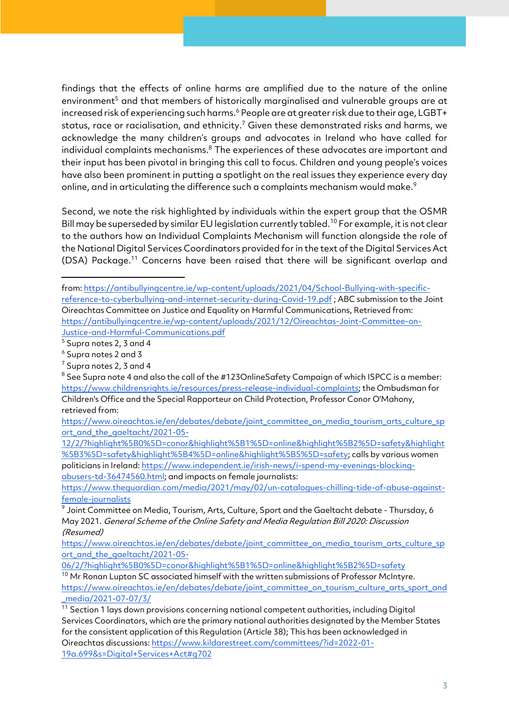findings that the effects of online harms are amplified due to the nature of the online environment<sup>5</sup> and that members of historically marginalised and vulnerable groups are at increased risk of experiencing such harms.<sup>6</sup> People are at greater risk due to their age, LGBT+ status, race or racialisation, and ethnicity.<sup>7</sup> Given these demonstrated risks and harms, we acknowledge the many children's groups and advocates in Ireland who have called for individual complaints mechanisms.<sup>8</sup> The experiences of these advocates are important and their input has been pivotal in bringing this call to focus. Children and young people's voices have also been prominent in putting a spotlight on the real issues they experience every day online, and in articulating the difference such a complaints mechanism would make.<sup>9</sup>

Second, we note the risk highlighted by individuals within the expert group that the OSMR Bill may be superseded by similar EU legislation currently tabled.<sup>10</sup> For example, it is not clear to the authors how an Individual Complaints Mechanism will function alongside the role of the National Digital Services Coordinators provided for in the text of the Digital Services Act (DSA) Package.11 Concerns have been raised that there will be significant overlap and

https://www.theguardian.com/media/2021/may/02/un-catalogues-chilling-tide-of-abuse-againstfemale-journalists

<sup>9</sup> Joint Committee on Media, Tourism, Arts, Culture, Sport and the Gaeltacht debate - Thursday, 6 May 2021. General Scheme of the Online Safety and Media Regulation Bill 2020: Discussion (Resumed)

https://www.oireachtas.ie/en/debates/debate/joint\_committee\_on\_media\_tourism\_arts\_culture\_sp ort\_and\_the\_gaeltacht/2021-05-

06/2/?highlight%5B0%5D=conor&highlight%5B1%5D=online&highlight%5B2%5D=safety

<sup>10</sup> Mr Ronan Lupton SC associated himself with the written submissions of Professor McIntyre. https://www.oireachtas.ie/en/debates/debate/joint\_committee\_on\_tourism\_culture\_arts\_sport\_and \_media/2021-07-07/3/

from: https://antibullyingcentre.ie/wp-content/uploads/2021/04/School-Bullying-with-specificreference-to-cyberbullying-and-internet-security-during-Covid-19.pdf ; ABC submission to the Joint Oireachtas Committee on Justice and Equality on Harmful Communications, Retrieved from: https://antibullyingcentre.ie/wp-content/uploads/2021/12/Oireachtas-Joint-Committee-on-Justice-and-Harmful-Communications.pdf

<sup>5</sup> Supra notes 2, 3 and 4

<sup>6</sup> Supra notes 2 and 3

<sup>7</sup> Supra notes 2, 3 and 4

<sup>&</sup>lt;sup>8</sup> See Supra note 4 and also the call of the #123OnlineSafety Campaign of which ISPCC is a member: https://www.childrensrights.ie/resources/press-release-individual-complaints; the Ombudsman for Children's Office and the Special Rapporteur on Child Protection, Professor Conor O'Mahony, retrieved from:

https://www.oireachtas.ie/en/debates/debate/joint\_committee\_on\_media\_tourism\_arts\_culture\_sp ort\_and\_the\_gaeltacht/2021-05-

<sup>12/2/?</sup>highlight%5B0%5D=conor&highlight%5B1%5D=online&highlight%5B2%5D=safety&highlight %5B3%5D=safety&highlight%5B4%5D=online&highlight%5B5%5D=safety; calls by various women politicians in Ireland: https://www.independent.ie/irish-news/i-spend-my-evenings-blockingabusers-td-36474560.html; and impacts on female journalists:

 $11$  Section 1 lays down provisions concerning national competent authorities, including Digital Services Coordinators, which are the primary national authorities designated by the Member States for the consistent application of this Regulation (Article 38); This has been acknowledged in Oireachtas discussions: https://www.kildarestreet.com/committees/?id=2022-01- 19a.699&s=Digital+Services+Act#g702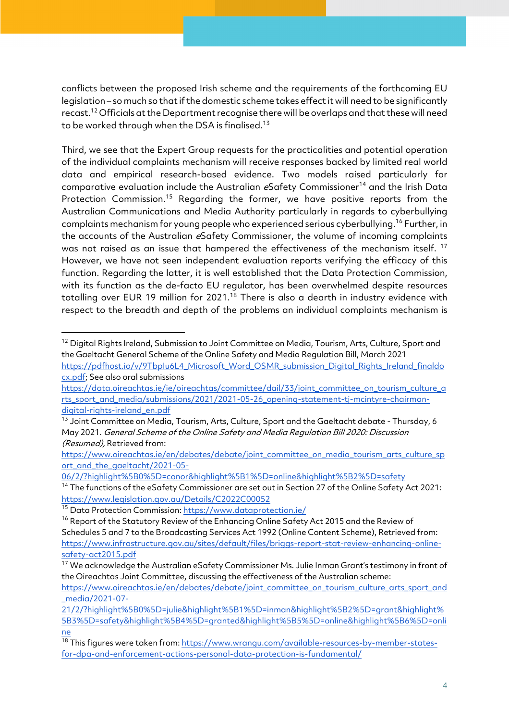conflicts between the proposed Irish scheme and the requirements of the forthcoming EU legislation – so much so that if the domestic scheme takes effect it will need to be significantly recast.<sup>12</sup> Officials at the Department recognise there will be overlaps and that these will need to be worked through when the DSA is finalised.<sup>13</sup>

Third, we see that the Expert Group requests for the practicalities and potential operation of the individual complaints mechanism will receive responses backed by limited real world data and empirical research-based evidence. Two models raised particularly for comparative evaluation include the Australian eSafety Commissioner<sup>14</sup> and the Irish Data Protection Commission.<sup>15</sup> Regarding the former, we have positive reports from the Australian Communications and Media Authority particularly in regards to cyberbullying complaints mechanism for young people who experienced serious cyberbullying.<sup>16</sup> Further, in the accounts of the Australian eSafety Commissioner, the volume of incoming complaints was not raised as an issue that hampered the effectiveness of the mechanism itself.<sup>17</sup> However, we have not seen independent evaluation reports verifying the efficacy of this function. Regarding the latter, it is well established that the Data Protection Commission, with its function as the de-facto EU regulator, has been overwhelmed despite resources totalling over EUR 19 million for 2021.<sup>18</sup> There is also a dearth in industry evidence with respect to the breadth and depth of the problems an individual complaints mechanism is

cx.pdf; See also oral submissions

<sup>&</sup>lt;sup>12</sup> Digital Rights Ireland, Submission to Joint Committee on Media, Tourism, Arts, Culture, Sport and the Gaeltacht General Scheme of the Online Safety and Media Regulation Bill, March 2021 https://pdfhost.io/v/9TbpIu6L4\_Microsoft\_Word\_OSMR\_submission\_Digital\_Rights\_Ireland\_finaldo

https://data.oireachtas.ie/ie/oireachtas/committee/dail/33/joint\_committee\_on\_tourism\_culture\_a rts\_sport\_and\_media/submissions/2021/2021-05-26\_opening-statement-tj-mcintyre-chairmandigital-rights-ireland\_en.pdf

<sup>&</sup>lt;sup>13</sup> Joint Committee on Media, Tourism, Arts, Culture, Sport and the Gaeltacht debate - Thursday, 6 May 2021. General Scheme of the Online Safety and Media Regulation Bill 2020: Discussion (Resumed), Retrieved from:

https://www.oireachtas.ie/en/debates/debate/joint\_committee\_on\_media\_tourism\_arts\_culture\_sp ort and the gaeltacht/2021-05-

<sup>06/2/?</sup>highlight%5B0%5D=conor&highlight%5B1%5D=online&highlight%5B2%5D=safety

<sup>&</sup>lt;sup>14</sup> The functions of the eSafety Commissioner are set out in Section 27 of the Online Safety Act 2021: https://www.legislation.gov.au/Details/C2022C00052

<sup>&</sup>lt;sup>15</sup> Data Protection Commission: https://www.dataprotection.ie/

<sup>&</sup>lt;sup>16</sup> Report of the Statutory Review of the Enhancing Online Safety Act 2015 and the Review of

Schedules 5 and 7 to the Broadcasting Services Act 1992 (Online Content Scheme), Retrieved from: https://www.infrastructure.gov.au/sites/default/files/briggs-report-stat-review-enhancing-onlinesafety-act2015.pdf

<sup>&</sup>lt;sup>17</sup> We acknowledge the Australian eSafety Commissioner Ms. Julie Inman Grant's testimony in front of the Oireachtas Joint Committee, discussing the effectiveness of the Australian scheme:

https://www.oireachtas.ie/en/debates/debate/joint\_committee\_on\_tourism\_culture\_arts\_sport\_and \_media/2021-07-

<sup>21/2/?</sup>highlight%5B0%5D=julie&highlight%5B1%5D=inman&highlight%5B2%5D=grant&highlight% 5B3%5D=safety&highlight%5B4%5D=granted&highlight%5B5%5D=online&highlight%5B6%5D=onli ne

<sup>&</sup>lt;sup>18</sup> This figures were taken from: https://www.wrangu.com/available-resources-by-member-statesfor-dpa-and-enforcement-actions-personal-data-protection-is-fundamental/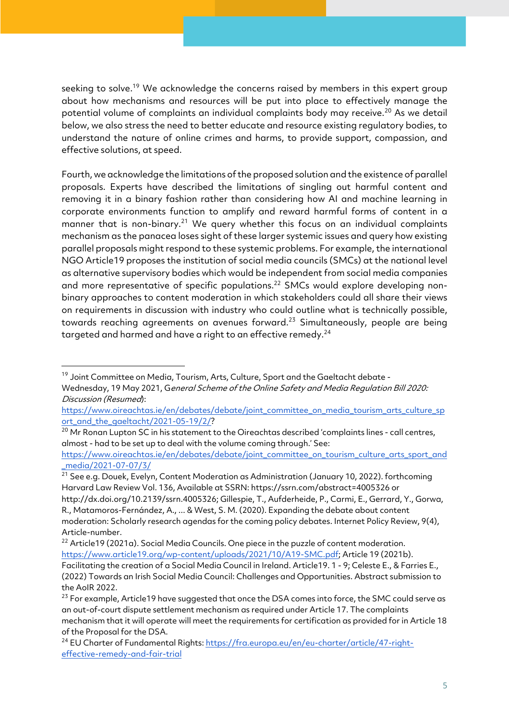seeking to solve.<sup>19</sup> We acknowledge the concerns raised by members in this expert group about how mechanisms and resources will be put into place to effectively manage the potential volume of complaints an individual complaints body may receive.<sup>20</sup> As we detail below, we also stress the need to better educate and resource existing regulatory bodies, to understand the nature of online crimes and harms, to provide support, compassion, and effective solutions, at speed.

Fourth, we acknowledge the limitations of the proposed solution and the existence of parallel proposals. Experts have described the limitations of singling out harmful content and removing it in a binary fashion rather than considering how AI and machine learning in corporate environments function to amplify and reward harmful forms of content in a manner that is non-binary.<sup>21</sup> We query whether this focus on an individual complaints mechanism as the panacea loses sight of these larger systemic issues and query how existing parallel proposals might respond to these systemic problems. For example, the international NGO Article19 proposes the institution of social media councils (SMCs) at the national level as alternative supervisory bodies which would be independent from social media companies and more representative of specific populations.<sup>22</sup> SMCs would explore developing nonbinary approaches to content moderation in which stakeholders could all share their views on requirements in discussion with industry who could outline what is technically possible, towards reaching agreements on avenues forward.<sup>23</sup> Simultaneously, people are being targeted and harmed and have a right to an effective remedy.<sup>24</sup>

https://www.oireachtas.ie/en/debates/debate/joint\_committee\_on\_tourism\_culture\_arts\_sport\_and \_media/2021-07-07/3/

<sup>21</sup> See e.g. Douek, Evelyn, Content Moderation as Administration (January 10, 2022). forthcoming Harvard Law Review Vol. 136, Available at SSRN: https://ssrn.com/abstract=4005326 or

http://dx.doi.org/10.2139/ssrn.4005326; Gillespie, T., Aufderheide, P., Carmi, E., Gerrard, Y., Gorwa, R., Matamoros-Fernández, A., ... & West, S. M. (2020). Expanding the debate about content moderation: Scholarly research agendas for the coming policy debates. Internet Policy Review, 9(4), Article-number.

<sup>19</sup> Joint Committee on Media, Tourism, Arts, Culture, Sport and the Gaeltacht debate -

Wednesday, 19 May 2021, General Scheme of the Online Safety and Media Regulation Bill 2020: Discussion (Resumed):

https://www.oireachtas.ie/en/debates/debate/joint\_committee\_on\_media\_tourism\_arts\_culture\_sp ort\_and\_the\_gaeltacht/2021-05-19/2/?

<sup>&</sup>lt;sup>20</sup> Mr Ronan Lupton SC in his statement to the Oireachtas described 'complaints lines - call centres, almost - had to be set up to deal with the volume coming through.' See:

<sup>&</sup>lt;sup>22</sup> Article19 (2021a). Social Media Councils. One piece in the puzzle of content moderation. https://www.article19.org/wp-content/uploads/2021/10/A19-SMC.pdf; Article 19 (2021b). Facilitating the creation of a Social Media Council in Ireland. Article19. 1 - 9; Celeste E., & Farries E., (2022) Towards an Irish Social Media Council: Challenges and Opportunities. Abstract submission to the AoIR 2022.

<sup>&</sup>lt;sup>23</sup> For example, Article19 have suggested that once the DSA comes into force, the SMC could serve as an out-of-court dispute settlement mechanism as required under Article 17. The complaints mechanism that it will operate will meet the requirements for certification as provided for in Article 18 of the Proposal for the DSA.

<sup>&</sup>lt;sup>24</sup> EU Charter of Fundamental Rights: https://fra.europa.eu/en/eu-charter/article/47-righteffective-remedy-and-fair-trial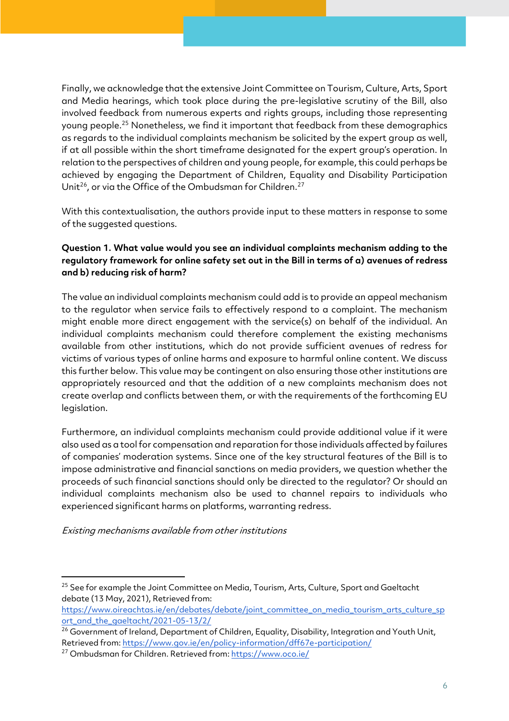Finally, we acknowledge that the extensive Joint Committee on Tourism, Culture, Arts, Sport and Media hearings, which took place during the pre-legislative scrutiny of the Bill, also involved feedback from numerous experts and rights groups, including those representing young people.25 Nonetheless, we find it important that feedback from these demographics as regards to the individual complaints mechanism be solicited by the expert group as well, if at all possible within the short timeframe designated for the expert group's operation. In relation to the perspectives of children and young people, for example, this could perhaps be achieved by engaging the Department of Children, Equality and Disability Participation Unit<sup>26</sup>, or via the Office of the Ombudsman for Children.<sup>27</sup>

With this contextualisation, the authors provide input to these matters in response to some of the suggested questions.

## **Question 1. What value would you see an individual complaints mechanism adding to the regulatory framework for online safety set out in the Bill in terms of a) avenues of redress and b) reducing risk of harm?**

The value an individual complaints mechanism could add is to provide an appeal mechanism to the regulator when service fails to effectively respond to a complaint. The mechanism might enable more direct engagement with the service(s) on behalf of the individual. An individual complaints mechanism could therefore complement the existing mechanisms available from other institutions, which do not provide sufficient avenues of redress for victims of various types of online harms and exposure to harmful online content. We discuss this further below. This value may be contingent on also ensuring those other institutions are appropriately resourced and that the addition of a new complaints mechanism does not create overlap and conflicts between them, or with the requirements of the forthcoming EU legislation.

Furthermore, an individual complaints mechanism could provide additional value if it were also used as a tool for compensation and reparation for those individuals affected by failures of companies' moderation systems. Since one of the key structural features of the Bill is to impose administrative and financial sanctions on media providers, we question whether the proceeds of such financial sanctions should only be directed to the regulator? Or should an individual complaints mechanism also be used to channel repairs to individuals who experienced significant harms on platforms, warranting redress.

Existing mechanisms available from other institutions

<sup>&</sup>lt;sup>25</sup> See for example the Joint Committee on Media, Tourism, Arts, Culture, Sport and Gaeltacht debate (13 May, 2021), Retrieved from:

https://www.oireachtas.ie/en/debates/debate/joint\_committee\_on\_media\_tourism\_arts\_culture\_sp ort\_and\_the\_gaeltacht/2021-05-13/2/

<sup>&</sup>lt;sup>26</sup> Government of Ireland, Department of Children, Equality, Disability, Integration and Youth Unit, Retrieved from: https://www.gov.ie/en/policy-information/dff67e-participation/

<sup>27</sup> Ombudsman for Children. Retrieved from: https://www.oco.ie/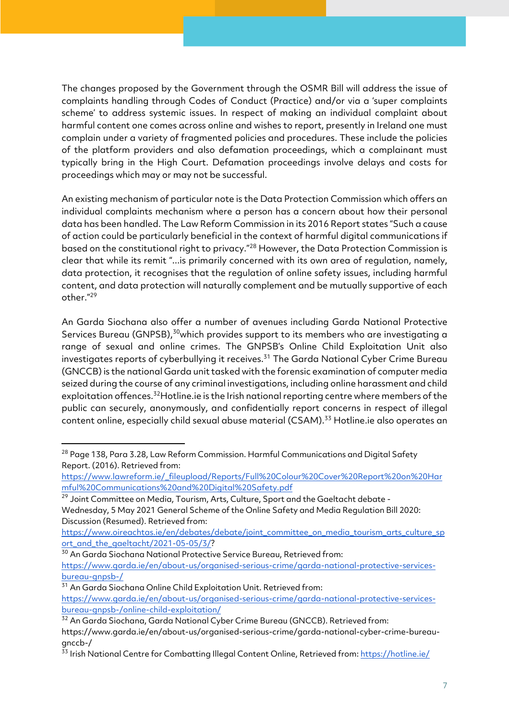The changes proposed by the Government through the OSMR Bill will address the issue of complaints handling through Codes of Conduct (Practice) and/or via a 'super complaints scheme' to address systemic issues. In respect of making an individual complaint about harmful content one comes across online and wishes to report, presently in Ireland one must complain under a variety of fragmented policies and procedures. These include the policies of the platform providers and also defamation proceedings, which a complainant must typically bring in the High Court. Defamation proceedings involve delays and costs for proceedings which may or may not be successful.

An existing mechanism of particular note is the Data Protection Commission which offers an individual complaints mechanism where a person has a concern about how their personal data has been handled. The Law Reform Commission in its 2016 Report states "Such a cause of action could be particularly beneficial in the context of harmful digital communications if based on the constitutional right to privacy."<sup>28</sup> However, the Data Protection Commission is clear that while its remit "...is primarily concerned with its own area of regulation, namely, data protection, it recognises that the regulation of online safety issues, including harmful content, and data protection will naturally complement and be mutually supportive of each other."29

An Garda Siochana also offer a number of avenues including Garda National Protective Services Bureau (GNPSB),<sup>30</sup>which provides support to its members who are investigating a range of sexual and online crimes. The GNPSB's Online Child Exploitation Unit also investigates reports of cyberbullying it receives.<sup>31</sup> The Garda National Cyber Crime Bureau (GNCCB) is the national Garda unit tasked with the forensic examination of computer media seized during the course of any criminal investigations, including online harassment and child exploitation offences.<sup>32</sup>Hotline.ie is the Irish national reporting centre where members of the public can securely, anonymously, and confidentially report concerns in respect of illegal content online, especially child sexual abuse material (CSAM).<sup>33</sup> Hotline.ie also operates an

Wednesday, 5 May 2021 General Scheme of the Online Safety and Media Regulation Bill 2020: Discussion (Resumed). Retrieved from:

https://www.oireachtas.ie/en/debates/debate/joint\_committee\_on\_media\_tourism\_arts\_culture\_sp ort\_and\_the\_gaeltacht/2021-05-05/3/?

<sup>30</sup> An Garda Siochana National Protective Service Bureau, Retrieved from:

<sup>31</sup> An Garda Siochana Online Child Exploitation Unit. Retrieved from:

<sup>&</sup>lt;sup>28</sup> Page 138, Para 3.28, Law Reform Commission. Harmful Communications and Digital Safety Report. (2016). Retrieved from:

https://www.lawreform.ie/\_fileupload/Reports/Full%20Colour%20Cover%20Report%20on%20Har mful%20Communications%20and%20Digital%20Safety.pdf

<sup>&</sup>lt;sup>29</sup> Joint Committee on Media, Tourism, Arts, Culture, Sport and the Gaeltacht debate -

https://www.garda.ie/en/about-us/organised-serious-crime/garda-national-protective-servicesbureau-gnpsb-/

https://www.garda.ie/en/about-us/organised-serious-crime/garda-national-protective-servicesbureau-gnpsb-/online-child-exploitation/

<sup>&</sup>lt;sup>32</sup> An Garda Siochana, Garda National Cyber Crime Bureau (GNCCB). Retrieved from:

https://www.garda.ie/en/about-us/organised-serious-crime/garda-national-cyber-crime-bureaugnccb-/

<sup>33</sup> Irish National Centre for Combatting Illegal Content Online, Retrieved from: https://hotline.ie/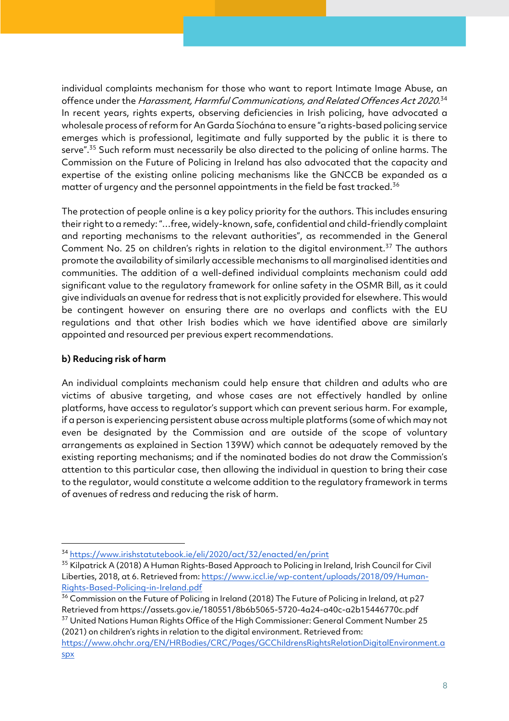individual complaints mechanism for those who want to report Intimate Image Abuse, an offence under the *Harassment, Harmful Communications, and Related Offences Act 2020*.<sup>34</sup> In recent years, rights experts, observing deficiencies in Irish policing, have advocated a wholesale process of reform for An Garda Síochána to ensure "a rights-based policing service emerges which is professional, legitimate and fully supported by the public it is there to serve".<sup>35</sup> Such reform must necessarily be also directed to the policing of online harms. The Commission on the Future of Policing in Ireland has also advocated that the capacity and expertise of the existing online policing mechanisms like the GNCCB be expanded as a matter of urgency and the personnel appointments in the field be fast tracked.<sup>36</sup>

The protection of people online is a key policy priority for the authors. This includes ensuring their right to a remedy: "…free, widely-known, safe, confidential and child-friendly complaint and reporting mechanisms to the relevant authorities", as recommended in the General Comment No. 25 on children's rights in relation to the digital environment.<sup>37</sup> The authors promote the availability of similarly accessible mechanisms to all marginalised identities and communities. The addition of a well-defined individual complaints mechanism could add significant value to the regulatory framework for online safety in the OSMR Bill, as it could give individuals an avenue for redress that is not explicitly provided for elsewhere. This would be contingent however on ensuring there are no overlaps and conflicts with the EU regulations and that other Irish bodies which we have identified above are similarly appointed and resourced per previous expert recommendations.

# **b) Reducing risk of harm**

An individual complaints mechanism could help ensure that children and adults who are victims of abusive targeting, and whose cases are not effectively handled by online platforms, have access to regulator's support which can prevent serious harm. For example, if a person is experiencing persistent abuse across multiple platforms (some of which may not even be designated by the Commission and are outside of the scope of voluntary arrangements as explained in Section 139W) which cannot be adequately removed by the existing reporting mechanisms; and if the nominated bodies do not draw the Commission's attention to this particular case, then allowing the individual in question to bring their case to the regulator, would constitute a welcome addition to the regulatory framework in terms of avenues of redress and reducing the risk of harm.

(2021) on children's rights in relation to the digital environment. Retrieved from:

<sup>34</sup> https://www.irishstatutebook.ie/eli/2020/act/32/enacted/en/print

<sup>&</sup>lt;sup>35</sup> Kilpatrick A (2018) A Human Rights-Based Approach to Policing in Ireland, Irish Council for Civil Liberties, 2018, at 6. Retrieved from: https://www.iccl.ie/wp-content/uploads/2018/09/Human-Rights-Based-Policing-in-Ireland.pdf

<sup>&</sup>lt;sup>36</sup> Commission on the Future of Policing in Ireland (2018) The Future of Policing in Ireland, at p27 Retrieved from https://assets.gov.ie/180551/8b6b5065-5720-4a24-a40c-a2b15446770c.pdf <sup>37</sup> United Nations Human Rights Office of the High Commissioner: General Comment Number 25

https://www.ohchr.org/EN/HRBodies/CRC/Pages/GCChildrensRightsRelationDigitalEnvironment.a spx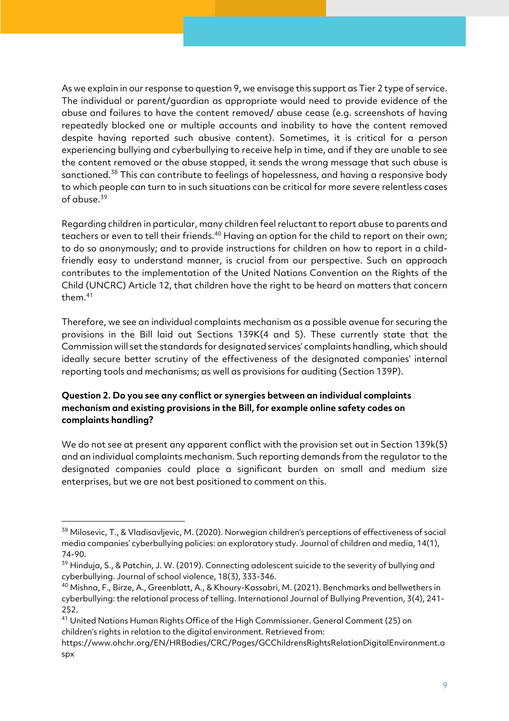As we explain in our response to question 9, we envisage this support as Tier 2 type of service. The individual or parent/guardian as appropriate would need to provide evidence of the abuse and failures to have the content removed/ abuse cease (e.g. screenshots of having repeatedly blocked one or multiple accounts and inability to have the content removed despite having reported such abusive content). Sometimes, it is critical for a person experiencing bullying and cyberbullying to receive help in time, and if they are unable to see the content removed or the abuse stopped, it sends the wrong message that such abuse is sanctioned.<sup>38</sup> This can contribute to feelings of hopelessness, and having a responsive body to which people can turn to in such situations can be critical for more severe relentless cases of abuse.<sup>39</sup>

Regarding children in particular, many children feel reluctant to report abuse to parents and teachers or even to tell their friends.<sup>40</sup> Having an option for the child to report on their own; to do so anonymously; and to provide instructions for children on how to report in a childfriendly easy to understand manner, is crucial from our perspective. Such an approach contributes to the implementation of the United Nations Convention on the Rights of the Child (UNCRC) Article 12, that children have the right to be heard on matters that concern them.<sup>41</sup>

Therefore, we see an individual complaints mechanism as a possible avenue for securing the provisions in the Bill laid out Sections 139K(4 and 5). These currently state that the Commission will set the standards for designated services' complaints handling, which should ideally secure better scrutiny of the effectiveness of the designated companies' internal reporting tools and mechanisms; as well as provisions for auditing (Section 139P).

## **Question 2. Do you see any conflict or synergies between an individual complaints mechanism and existing provisions in the Bill, for example online safety codes on complaints handling?**

We do not see at present any apparent conflict with the provision set out in Section 139k(5) and an individual complaints mechanism. Such reporting demands from the regulator to the designated companies could place a significant burden on small and medium size enterprises, but we are not best positioned to comment on this.

<sup>38</sup> Milosevic, T., & Vladisavljevic, M. (2020). Norwegian children's perceptions of effectiveness of social media companies' cyberbullying policies: an exploratory study. Journal of children and media, 14(1), 74-90.

 $39$  Hinduja, S., & Patchin, J. W. (2019). Connecting adolescent suicide to the severity of bullying and cyberbullying. Journal of school violence, 18(3), 333-346.

<sup>40</sup> Mishna, F., Birze, A., Greenblatt, A., & Khoury-Kassabri, M. (2021). Benchmarks and bellwethers in cyberbullying: the relational process of telling. International Journal of Bullying Prevention, 3(4), 241- 252.

<sup>&</sup>lt;sup>41</sup> United Nations Human Rights Office of the High Commissioner. General Comment (25) on children's rights in relation to the digital environment. Retrieved from:

https://www.ohchr.org/EN/HRBodies/CRC/Pages/GCChildrensRightsRelationDigitalEnvironment.a spx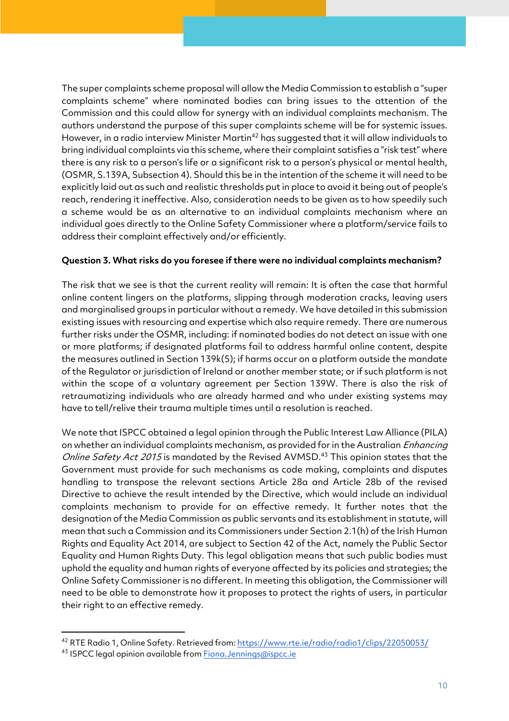The super complaints scheme proposal will allow the Media Commission to establish a "super complaints scheme" where nominated bodies can bring issues to the attention of the Commission and this could allow for synergy with an individual complaints mechanism. The authors understand the purpose of this super complaints scheme will be for systemic issues. However, in a radio interview Minister Martin<sup>42</sup> has suggested that it will allow individuals to bring individual complaints via this scheme, where their complaint satisfies a "risk test" where there is any risk to a person's life or a significant risk to a person's physical or mental health, (OSMR, S.139A, Subsection 4). Should this be in the intention of the scheme it will need to be explicitly laid out as such and realistic thresholds put in place to avoid it being out of people's reach, rendering it ineffective. Also, consideration needs to be given as to how speedily such a scheme would be as an alternative to an individual complaints mechanism where an individual goes directly to the Online Safety Commissioner where a platform/service fails to address their complaint effectively and/or efficiently.

#### **Question 3. What risks do you foresee if there were no individual complaints mechanism?**

The risk that we see is that the current reality will remain: It is often the case that harmful online content lingers on the platforms, slipping through moderation cracks, leaving users and marginalised groups in particular without a remedy. We have detailed in this submission existing issues with resourcing and expertise which also require remedy. There are numerous further risks under the OSMR, including: if nominated bodies do not detect an issue with one or more platforms; if designated platforms fail to address harmful online content, despite the measures outlined in Section 139k(5); if harms occur on a platform outside the mandate of the Regulator or jurisdiction of Ireland or another member state; or if such platform is not within the scope of a voluntary agreement per Section 139W. There is also the risk of retraumatizing individuals who are already harmed and who under existing systems may have to tell/relive their trauma multiple times until a resolution is reached.

We note that ISPCC obtained a legal opinion through the Public Interest Law Alliance (PILA) on whether an individual complaints mechanism, as provided for in the Australian *Enhancing* Online Safety Act 2015 is mandated by the Revised AVMSD.<sup>43</sup> This opinion states that the Government must provide for such mechanisms as code making, complaints and disputes handling to transpose the relevant sections Article 28a and Article 28b of the revised Directive to achieve the result intended by the Directive, which would include an individual complaints mechanism to provide for an effective remedy. It further notes that the designation of the Media Commission as public servants and its establishment in statute, will mean that such a Commission and its Commissioners under Section 2.1(h) of the Irish Human Rights and Equality Act 2014, are subject to Section 42 of the Act, namely the Public Sector Equality and Human Rights Duty. This legal obligation means that such public bodies must uphold the equality and human rights of everyone affected by its policies and strategies; the Online Safety Commissioner is no different. In meeting this obligation, the Commissioner will need to be able to demonstrate how it proposes to protect the rights of users, in particular their right to an effective remedy.

<sup>42</sup> RTE Radio 1, Online Safety. Retrieved from: https://www.rte.ie/radio/radio1/clips/22050053/

<sup>43</sup> ISPCC legal opinion available from **Fiona.Jennings@ispcc.ie**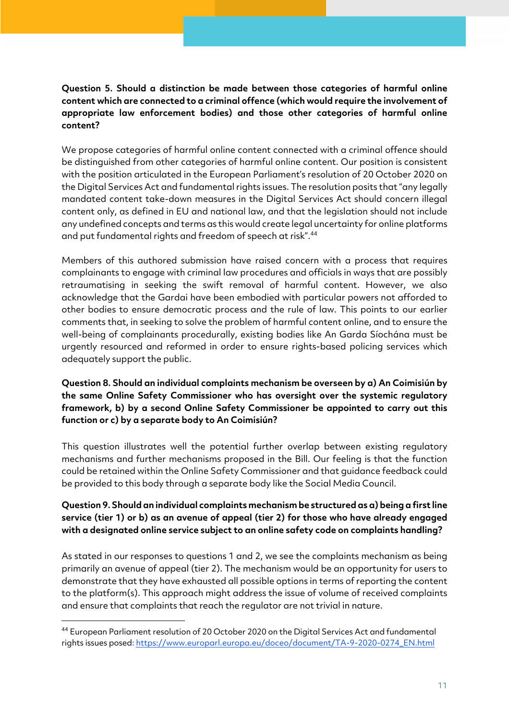#### **Question 5. Should a distinction be made between those categories of harmful online content which are connected to a criminal offence (which would require the involvement of appropriate law enforcement bodies) and those other categories of harmful online content?**

We propose categories of harmful online content connected with a criminal offence should be distinguished from other categories of harmful online content. Our position is consistent with the position articulated in the European Parliament's resolution of 20 October 2020 on the Digital Services Act and fundamental rights issues. The resolution posits that "any legally mandated content take-down measures in the Digital Services Act should concern illegal content only, as defined in EU and national law, and that the legislation should not include any undefined concepts and terms as this would create legal uncertainty for online platforms and put fundamental rights and freedom of speech at risk".44

Members of this authored submission have raised concern with a process that requires complainants to engage with criminal law procedures and officials in ways that are possibly retraumatising in seeking the swift removal of harmful content. However, we also acknowledge that the Gardai have been embodied with particular powers not afforded to other bodies to ensure democratic process and the rule of law. This points to our earlier comments that, in seeking to solve the problem of harmful content online, and to ensure the well-being of complainants procedurally, existing bodies like An Garda Síochána must be urgently resourced and reformed in order to ensure rights-based policing services which adequately support the public.

#### **Question 8. Should an individual complaints mechanism be overseen by a) An Coimisiún by the same Online Safety Commissioner who has oversight over the systemic regulatory framework, b) by a second Online Safety Commissioner be appointed to carry out this function or c) by a separate body to An Coimisiún?**

This question illustrates well the potential further overlap between existing regulatory mechanisms and further mechanisms proposed in the Bill. Our feeling is that the function could be retained within the Online Safety Commissioner and that guidance feedback could be provided to this body through a separate body like the Social Media Council.

#### **Question 9. Should an individual complaints mechanism be structured as a) being a first line service (tier 1) or b) as an avenue of appeal (tier 2) for those who have already engaged with a designated online service subject to an online safety code on complaints handling?**

As stated in our responses to questions 1 and 2, we see the complaints mechanism as being primarily an avenue of appeal (tier 2). The mechanism would be an opportunity for users to demonstrate that they have exhausted all possible options in terms of reporting the content to the platform(s). This approach might address the issue of volume of received complaints and ensure that complaints that reach the regulator are not trivial in nature.

<sup>44</sup> European Parliament resolution of 20 October 2020 on the Digital Services Act and fundamental rights issues posed**:** https://www.europarl.europa.eu/doceo/document/TA-9-2020-0274\_EN.html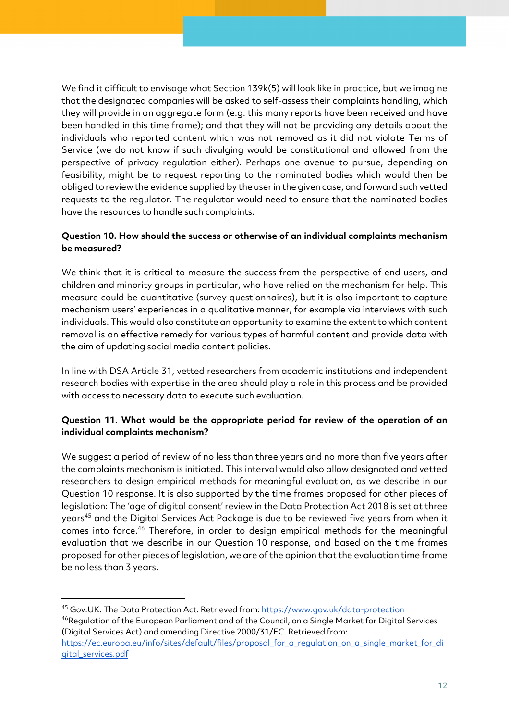We find it difficult to envisage what Section 139k(5) will look like in practice, but we imagine that the designated companies will be asked to self-assess their complaints handling, which they will provide in an aggregate form (e.g. this many reports have been received and have been handled in this time frame); and that they will not be providing any details about the individuals who reported content which was not removed as it did not violate Terms of Service (we do not know if such divulging would be constitutional and allowed from the perspective of privacy regulation either). Perhaps one avenue to pursue, depending on feasibility, might be to request reporting to the nominated bodies which would then be obliged to review the evidence supplied by the user in the given case, and forward such vetted requests to the regulator. The regulator would need to ensure that the nominated bodies have the resources to handle such complaints.

#### **Question 10. How should the success or otherwise of an individual complaints mechanism be measured?**

We think that it is critical to measure the success from the perspective of end users, and children and minority groups in particular, who have relied on the mechanism for help. This measure could be quantitative (survey questionnaires), but it is also important to capture mechanism users' experiences in a qualitative manner, for example via interviews with such individuals. This would also constitute an opportunity to examine the extent to which content removal is an effective remedy for various types of harmful content and provide data with the aim of updating social media content policies.

In line with DSA Article 31, vetted researchers from academic institutions and independent research bodies with expertise in the area should play a role in this process and be provided with access to necessary data to execute such evaluation.

## **Question 11. What would be the appropriate period for review of the operation of an individual complaints mechanism?**

We suggest a period of review of no less than three years and no more than five years after the complaints mechanism is initiated. This interval would also allow designated and vetted researchers to design empirical methods for meaningful evaluation, as we describe in our Question 10 response. It is also supported by the time frames proposed for other pieces of legislation: The 'age of digital consent' review in the Data Protection Act 2018 is set at three years<sup>45</sup> and the Digital Services Act Package is due to be reviewed five years from when it comes into force.46 Therefore, in order to design empirical methods for the meaningful evaluation that we describe in our Question 10 response, and based on the time frames proposed for other pieces of legislation, we are of the opinion that the evaluation time frame be no less than 3 years.

<sup>45</sup> Gov.UK. The Data Protection Act. Retrieved from: https://www.gov.uk/data-protection <sup>46</sup>Regulation of the European Parliament and of the Council, on a Single Market for Digital Services (Digital Services Act) and amending Directive 2000/31/EC. Retrieved from: https://ec.europa.eu/info/sites/default/files/proposal\_for\_a\_regulation\_on\_a\_single\_market\_for\_di gital\_services.pdf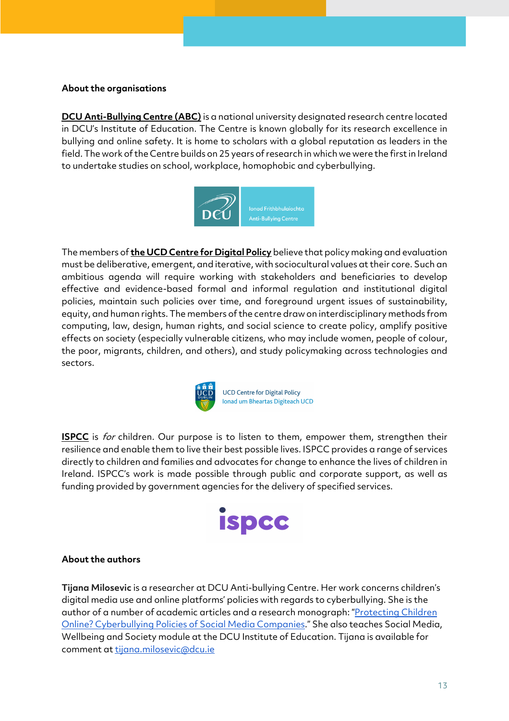#### **About the organisations**

**DCU Anti-Bullying Centre (ABC)** is a national university designated research centre located in DCU's Institute of Education. The Centre is known globally for its research excellence in bullying and online safety. It is home to scholars with a global reputation as leaders in the field. The work of the Centre builds on 25 years of research in which we were the first in Ireland to undertake studies on school, workplace, homophobic and cyberbullying.



The members of **the UCD Centre for Digital Policy** believe that policy making and evaluation must be deliberative, emergent, and iterative, with sociocultural values at their core. Such an ambitious agenda will require working with stakeholders and beneficiaries to develop effective and evidence-based formal and informal regulation and institutional digital policies, maintain such policies over time, and foreground urgent issues of sustainability, equity, and human rights. The members of the centre draw on interdisciplinary methods from computing, law, design, human rights, and social science to create policy, amplify positive effects on society (especially vulnerable citizens, who may include women, people of colour, the poor, migrants, children, and others), and study policymaking across technologies and sectors.



**UCD Centre for Digital Policy** Ionad um Bheartas Digiteach UCD

**ISPCC** is for children. Our purpose is to listen to them, empower them, strengthen their resilience and enable them to live their best possible lives. ISPCC provides a range of services directly to children and families and advocates for change to enhance the lives of children in Ireland. ISPCC's work is made possible through public and corporate support, as well as funding provided by government agencies for the delivery of specified services.



#### **About the authors**

**Tijana Milosevic** is a researcher at DCU Anti-bullying Centre. Her work concerns children's digital media use and online platforms' policies with regards to cyberbullying. She is the author of a number of academic articles and a research monograph: "Protecting Children Online? Cyberbullying Policies of Social Media Companies." She also teaches Social Media, Wellbeing and Society module at the DCU Institute of Education. Tijana is available for comment at tijana.milosevic@dcu.ie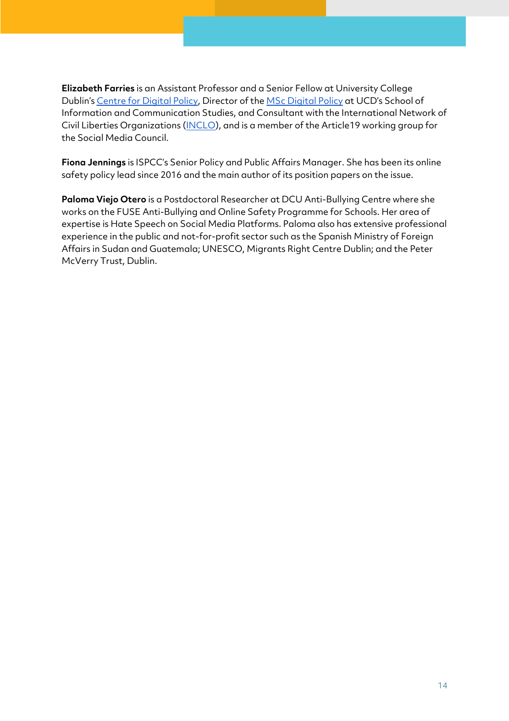**Elizabeth Farries** is an Assistant Professor and a Senior Fellow at University College Dublin's Centre for Digital Policy, Director of the MSc Digital Policy at UCD's School of Information and Communication Studies, and Consultant with the International Network of Civil Liberties Organizations (INCLO), and is a member of the Article19 working group for the Social Media Council.

**Fiona Jennings** is ISPCC's Senior Policy and Public Affairs Manager. She has been its online safety policy lead since 2016 and the main author of its position papers on the issue.

**Paloma Viejo Otero** is a Postdoctoral Researcher at DCU Anti-Bullying Centre where she works on the FUSE Anti-Bullying and Online Safety Programme for Schools. Her area of expertise is Hate Speech on Social Media Platforms. Paloma also has extensive professional experience in the public and not-for-profit sector such as the Spanish Ministry of Foreign Affairs in Sudan and Guatemala; UNESCO, Migrants Right Centre Dublin; and the Peter McVerry Trust, Dublin.